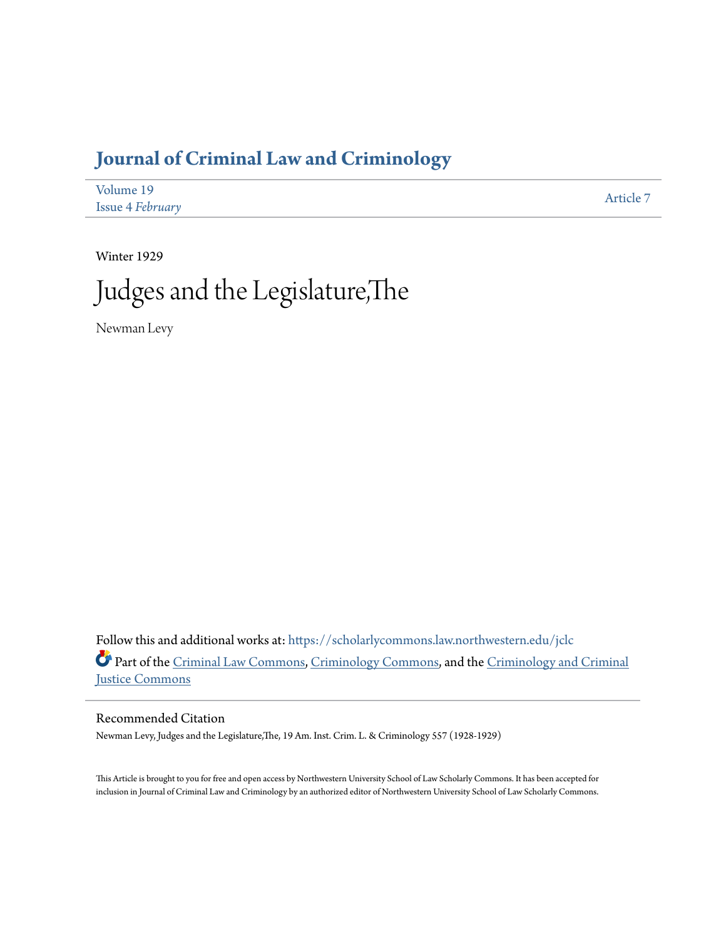## **[Journal of Criminal Law and Criminology](https://scholarlycommons.law.northwestern.edu/jclc?utm_source=scholarlycommons.law.northwestern.edu%2Fjclc%2Fvol19%2Fiss4%2F7&utm_medium=PDF&utm_campaign=PDFCoverPages)**

| Volume 19               | Article 7 |
|-------------------------|-----------|
| <b>Issue 4 February</b> |           |

Winter 1929

# Judges and the Legislature,The

Newman Levy

Follow this and additional works at: [https://scholarlycommons.law.northwestern.edu/jclc](https://scholarlycommons.law.northwestern.edu/jclc?utm_source=scholarlycommons.law.northwestern.edu%2Fjclc%2Fvol19%2Fiss4%2F7&utm_medium=PDF&utm_campaign=PDFCoverPages) Part of the [Criminal Law Commons](http://network.bepress.com/hgg/discipline/912?utm_source=scholarlycommons.law.northwestern.edu%2Fjclc%2Fvol19%2Fiss4%2F7&utm_medium=PDF&utm_campaign=PDFCoverPages), [Criminology Commons](http://network.bepress.com/hgg/discipline/417?utm_source=scholarlycommons.law.northwestern.edu%2Fjclc%2Fvol19%2Fiss4%2F7&utm_medium=PDF&utm_campaign=PDFCoverPages), and the [Criminology and Criminal](http://network.bepress.com/hgg/discipline/367?utm_source=scholarlycommons.law.northwestern.edu%2Fjclc%2Fvol19%2Fiss4%2F7&utm_medium=PDF&utm_campaign=PDFCoverPages) [Justice Commons](http://network.bepress.com/hgg/discipline/367?utm_source=scholarlycommons.law.northwestern.edu%2Fjclc%2Fvol19%2Fiss4%2F7&utm_medium=PDF&utm_campaign=PDFCoverPages)

#### Recommended Citation

Newman Levy, Judges and the Legislature,The, 19 Am. Inst. Crim. L. & Criminology 557 (1928-1929)

This Article is brought to you for free and open access by Northwestern University School of Law Scholarly Commons. It has been accepted for inclusion in Journal of Criminal Law and Criminology by an authorized editor of Northwestern University School of Law Scholarly Commons.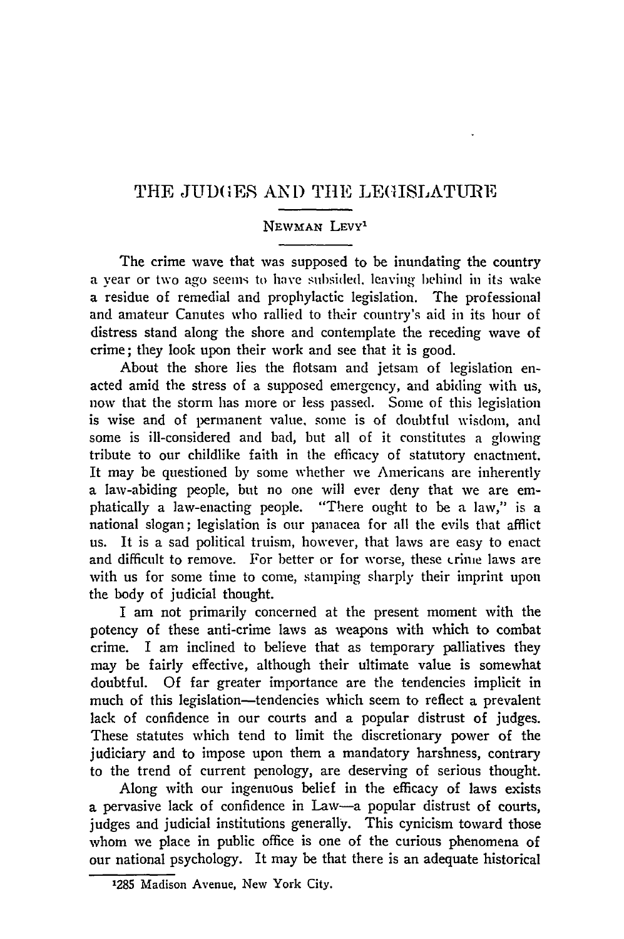### THE JUDGES AND THE LEGISLATURE

#### **NEWMAN** LEVY'

The crime wave that was supposed to be inundating the country a vear or two ago seems to have subsided, leaving behind in its wake a residue of remedial and prophylactic legislation. The professional and amateur Canutes who rallied to their country's aid in its hour of distress stand along the shore and contemplate the receding wave of crime; they look upon their work and see that it is good.

About the shore lies the flotsam and jetsam of legislation enacted amid the stress of a supposed emergency, and abiding with us, now that the storm has more or less passed. Some of this legislation is wise and of permanent value, some is of doubtful wisdom, and some is ill-considered and bad, but all of it constitutes a glowing tribute to our childlike faith in the efficacy of statutory enactment. It may be questioned by some whether we Americans are inherently a law-abiding people, but no one will ever deny that we are emphatically a law-enacting people. "There ought to be a law," is a national slogan; legislation is our panacea for all the evils that afflict us. It is a sad political truism, however, that laws are easy to enact and difficult to remove. For better or for worse, these **crime** laws are with us for some time to come, stamping sharply their imprint upon the body of judicial thought.

I am not primarily concerned at the present moment with the potency of these anti-crime laws as weapons with which to combat crime. I am inclined to believe that as temporary palliatives they may be fairly effective, although their ultimate value is somewhat doubtful. Of far greater importance are the tendencies implicit in much of this legislation—tendencies which seem to reflect a prevalent lack of confidence in our courts and a popular distrust of judges. These statutes which tend to limit the discretionary power of the judiciary and to impose upon them a mandatory harshness, contrary to the trend of current penology, are deserving of serious thought.

Along with our ingenuous belief in the efficacy of laws exists a pervasive lack of confidence in Law-a popular distrust of courts, judges and judicial institutions generally. This cynicism toward those whom we place in public office is one of the curious phenomena of our national psychology. It may be that there is an adequate historical

**<sup>1285</sup>** Madison Avenue. New York City.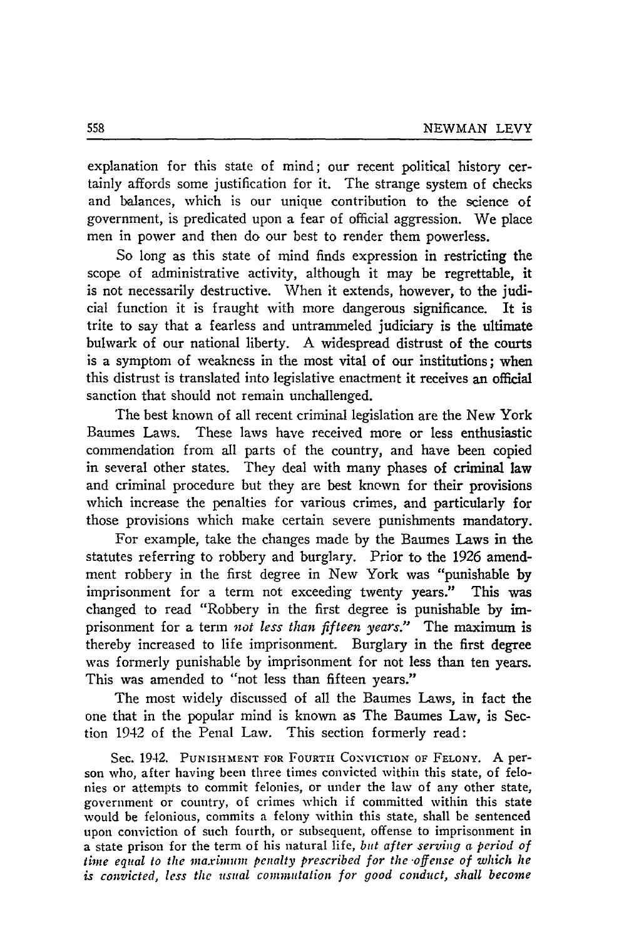explanation for this state of mind; our recent political history certainly affords some justification for it. The strange system of checks and balances, which is our unique contribution to the science of government, is predicated upon a fear of official aggression. We place men in power and then do our best to render them powerless.

So long as this state of mind finds expression in restricting the scope of administrative activity, although it may be regrettable, it is not necessarily destructive. When it extends, however, to the judicial function it is fraught with more dangerous significance. It is trite to say that a fearless and untrammeled judiciary is the ultimate bulwark of our national liberty. A widespread distrust of the courts is a symptom of weakness in the most vital of our institutions; when this distrust is translated into legislative enactment it receives an official sanction that should not remain unchallenged.

The best known of all recent criminal legislation are the New York Baumes Laws. These laws have received more or less enthusiastic commendation from all parts of the country, and have been copied in several other states. They deal with many phases of criminal law and criminal procedure but they are best known for their provisions which increase the penalties for various crimes, and particularly for those provisions which make certain severe punishments mandatory.

For example, take the changes made by the Baumes Laws in the statutes referring to robbery and burglary. Prior to the 1926 amendment robbery in the first degree in New York was "punishable by imprisonment for a term not exceeding twenty years." This was changed to read "Robbery in the first degree is punishable by imprisonment for a term *not less than fifteen years."* The maximum is thereby increased to life imprisonment. Burglary in the first degree was formerly punishable by imprisonment for not less than ten years. This was amended to "not less than fifteen years."

The most widely discussed of all the Baumes Laws, in fact the one that in the popular mind is known as The Baumes Law, is Section 1942 of the Penal Law. This section formerly read:

Sec. 1942. PUNISHMENT FOR FOURTH CONVICTION OF FELONY. A person who, after having been three times convicted within this state, of felonies or attempts to commit felonies, or under the law of any other state, government or country, of crimes which if committed within this state would be felonious, commits a felony within this state, shall be sentenced upon conviction of such fourth, or subsequent, offense to imprisonment in a state prison for the term of his natural life, *but after serving a period of time equal to the maximum penalty prescribed for the-offense* of *which he is convicted, less the usual commutation for* good *conduct, shall become*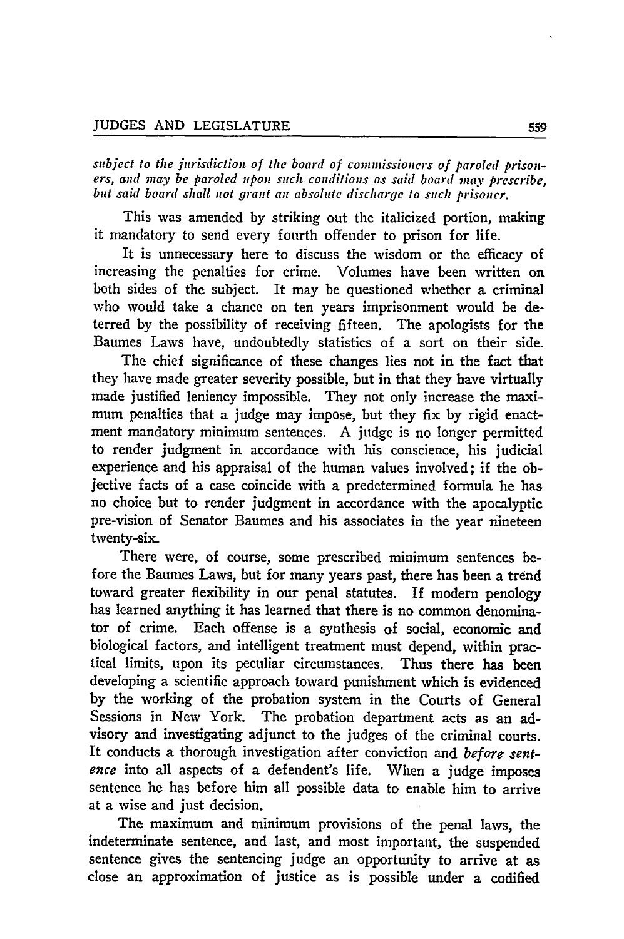subject to the jurisdiction of the board of commissioners of paroled prison*ers, and mnay be paroled upon such conlitions .s said board may prescribe, but said board shall not grant an absolute discharge to such prisoner.*

This was amended **by** striking out the italicized portion, making it mandatory to send every fourth offender to prison for life.

It is unnecessary here to discuss the wisdom or the efficacy of increasing the penalties for crime. Volumes have been written on both sides of the subject. It may be questioned whether a criminal who would take a chance on ten years imprisonment would be deterred **by** the possibility of receiving fifteen. The apologists for the Baumes Laws have, undoubtedly statistics of a sort on their side.

The chief significance of these changes lies not in the fact that they have made greater severity possible, but in that they have virtually made justified leniency impossible. They not only increase the maximum penalties that a judge may impose, but they fix **by** rigid enactment mandatory minimum sentences. **A judge** is no longer permitted to render judgment in accordance with his conscience, his judicial experience and his appraisal of the human values involved; if the objective facts of a case coincide with a predetermined formula he has no choice but to render judgment in accordance with the apocalyptic pre-vision of Senator Baumes and his associates in the year nineteen twenty-six.

There were, of course, some prescribed minimum sentences before the Baumes Laws, but for many years past, there has been a trend toward greater flexibility in our penal statutes. If modern penology has learned anything it has learned that there is no common denominator of crime. Each offense is a synthesis of social, economic and biological factors, and intelligent treatment must depend, within practical limits, upon its peculiar circumstances. Thus there has **been** developing a scientific approach toward punishment which is evidenced **by** the working of the probation system in the Courts of General Sessions in New York. The probation department acts as an advisory and investigating adjunct to the judges of the criminal courts. It conducts a thorough investigation after conviction and *before* sentence into all aspects of a defendent's life. When a judge imposes sentence he has before him all possible data to enable him to arrive at a wise and just decision.

The maximum and minimum provisions of the penal laws, the indeterminate sentence, and last, and most important, the suspended sentence gives the sentencing judge an opportunity to arrive at as close an approximation of justice as is possible under a codified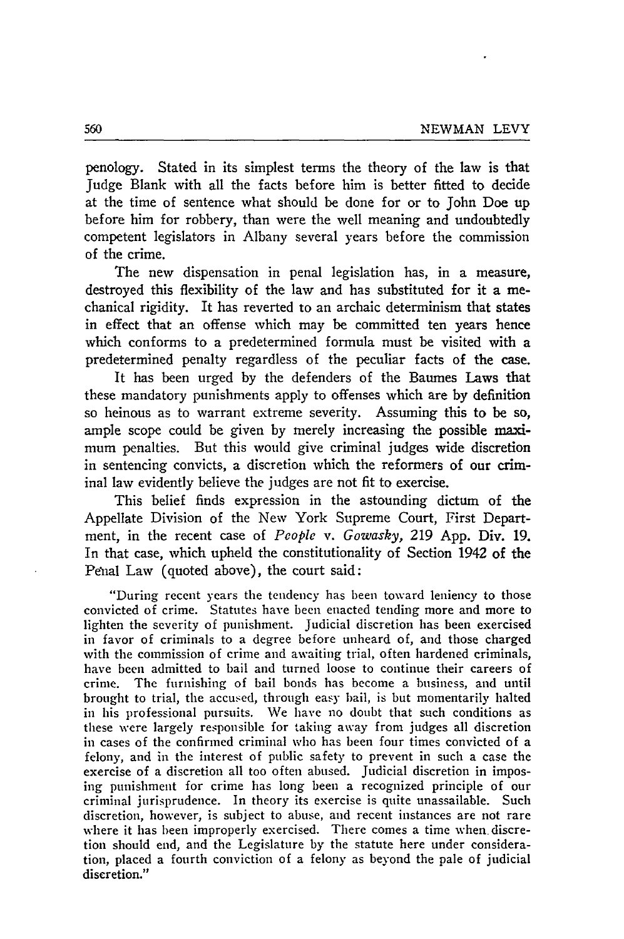penology. Stated in its simplest terms the theory of the law is that Judge Blank with all the facts before him is better fitted to decide at the time of sentence what should be done for or to John Doe up before him for robbery, than were the well meaning and undoubtedly competent legislators in Albany several years before the commission of the crime.

The new dispensation in penal legislation has, in a measure, destroyed this flexibility of the law and has substituted for it a mechanical rigidity. It has reverted to an archaic determinism that states in effect that an offense which may be committed ten years hence which conforms to a predetermined formula must be visited with a predetermined penalty regardless of the peculiar facts of the case.

It has been urged by the defenders of the Baumes Laws that these mandatory punishments apply to offenses which are by definition so heinous as to warrant extreme severity. Assuming this to be so, ample scope could be given by merely increasing the possible maximum penalties. But this would give criminal judges wide discretion in sentencing convicts, a discretion which the reformers of our criminal law evidently believe the judges are not fit to exercise.

This belief finds expression in the astounding dictum of the Appellate Division of the New York Supreme Court, First Department, in the recent case of *People v. Gowasky,* 219 App. Div. 19. In that case, which upheld the constitutionality of Section 1942 of the Penal Law (quoted above), the court said:

"During recent years the tendency has been toward leniency to those convicted of crime. Statutes have been enacted tending more and more to lighten the severity of punishment. Judicial discretion has been exercised in favor of criminals to a degree before unheard of, and those charged with the commission of crime and awaiting trial, often hardened criminals, have been admitted to bail and turned loose to continue their careers of crime. The furnishing of bail bonds has become a business, and until brought to trial, the accused, through easy bail, is but momentarily halted in his professional pursuits. We have no doubt that such conditions as these were largely responsible for taking away from judges all discretion in cases of the confirmed criminal who has been four times convicted of a felony, and in the interest of public safety to prevent in such a case the exercise of a discretion all too often abused. Judicial discretion in imposing punishment for crime has long been a recognized principle of our criminal jurisprudence. In theory its exercise is quite unassailable. Such discretion, however, is subject to abuse, and recent instances are not rare where it has been improperly exercised. There comes a time when discretion should end, and the Legislature by the statute here under consideration, placed a fourth conviction of a felony as beyond the pale of judicial discretion."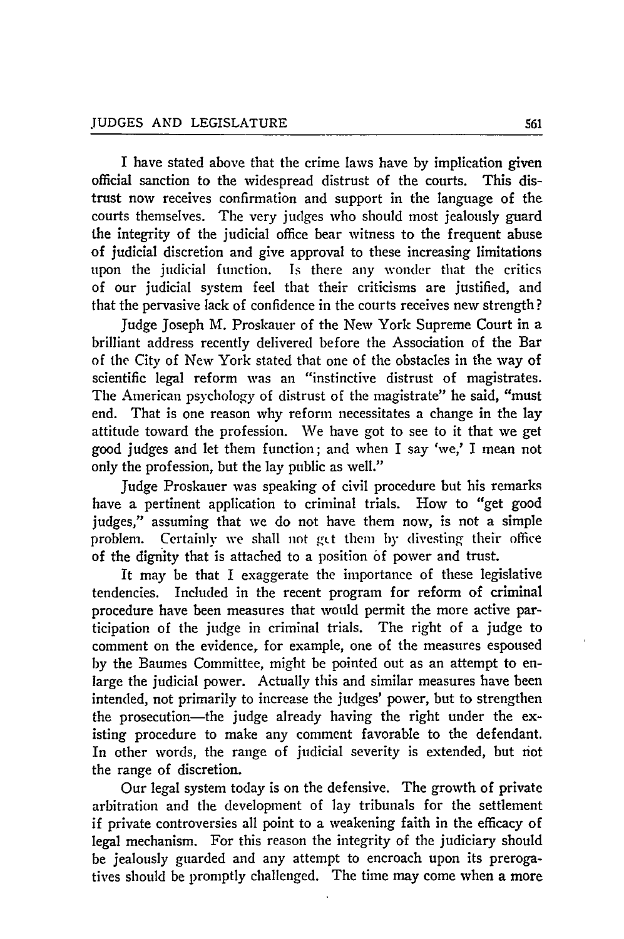I have stated above that the crime laws have by implication given official sanction to the widespread distrust of the courts. This distrust now receives confirmation and support in the language of the courts themselves. The very judges who should most jealously guard the integrity of the judicial office bear witness to the frequent abuse of judicial discretion and give approval to these increasing limitations upon the judicial function. Is there any wonder that the critics of our judicial system feel that their criticisms are justified, and that the pervasive lack of confidence in the courts receives new strength?

Judge Joseph M. Proskauer of the New York Supreme Court in a brilliant address recently delivered before the Association of the Bar of the City of New York stated that one of the obstacles in the way of scientific legal reform was an "instinctive distrust of magistrates. The American psychology of distrust of the magistrate" he said, "must end. That is one reason why reform necessitates a change in the lay attitude toward the profession. We have got to see to it that we get good judges and let them function; and when I say 'we,' I mean not only the profession, but the lay public as well."

Judge Proskauer was speaking of civil procedure but his remarks have a pertinent application to criminal trials. How to "get good judges," assuming that we do not have them now, is not a simple problem. Certainly we shall not get them by divesting their office of the dignity that is attached to a position of power and trust.

It may be that I exaggerate the importance of these legislative tendencies. Included in the recent program for reform of criminal procedure have been measures that would permit the more active participation of the judge in criminal trials. The right of a judge to comment on the evidence, for example, one of the measures espoused by the Baumes Committee, might be pointed out as an attempt to enlarge the judicial power. Actually this and similar measures have been intended, not primarily to increase the judges' power, but to strengthen the prosecution-the judge already having the right under the existing procedure to make any comment favorable to the defendant. In other words, the range of judicial severity is extended, but not the range of discretion.

Our legal system today is on the defensive. The growth of private arbitration and the development of lay tribunals for the settlement if private controversies all point to a weakening faith in the efficacy of legal mechanism. For this reason the integrity of the judiciary should be jealously guarded and any attempt to encroach upon its prerogatives should be promptly challenged. The time may come when a more